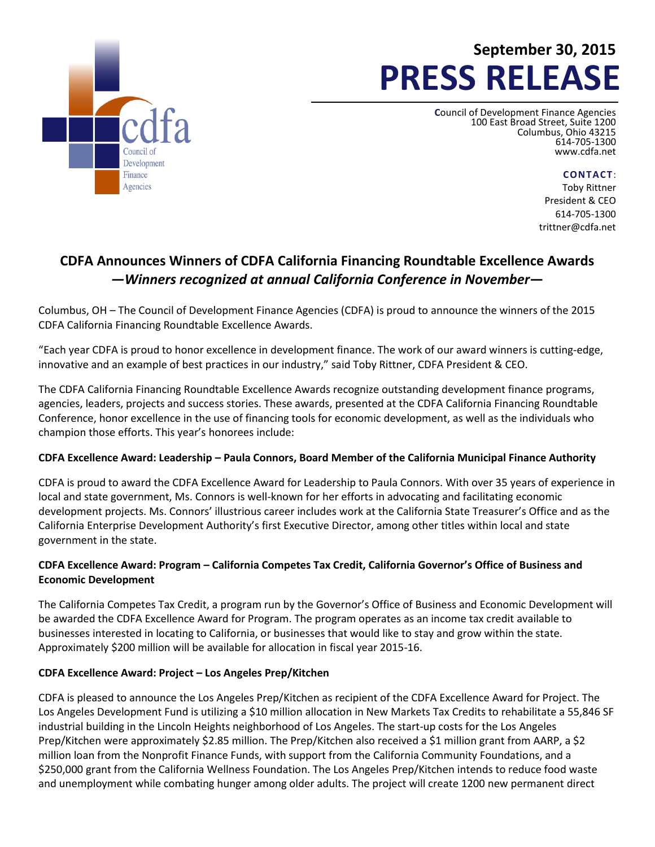

# **September 30, 2015 PRESS RELEASE**

**C**ouncil of Development Finance Agencies 100 East Broad Street, Suite 1200 Columbus, Ohio 43215 614-705-1300 [www.cdfa.net](http://www.cdfa.net/)

**CONTACT**:

Toby Rittner President & CEO 614-705-1300 trittner@cdfa.net

## **CDFA Announces Winners of CDFA California Financing Roundtable Excellence Awards** *—Winners recognized at annual California Conference in November***—**

Columbus, OH – The Council of Development Finance Agencies (CDFA) is proud to announce the winners of the 2015 CDFA California Financing Roundtable Excellence Awards.

"Each year CDFA is proud to honor excellence in development finance. The work of our award winners is cutting-edge, innovative and an example of best practices in our industry," said Toby Rittner, CDFA President & CEO.

The CDFA California Financing Roundtable Excellence Awards recognize outstanding development finance programs, agencies, leaders, projects and success stories. These awards, presented at the CDFA California Financing Roundtable Conference, honor excellence in the use of financing tools for economic development, as well as the individuals who champion those efforts. This year's honorees include:

#### **CDFA Excellence Award: Leadership – Paula Connors, Board Member of the California Municipal Finance Authority**

CDFA is proud to award the CDFA Excellence Award for Leadership to Paula Connors. With over 35 years of experience in local and state government, Ms. Connors is well-known for her efforts in advocating and facilitating economic development projects. Ms. Connors' illustrious career includes work at the California State Treasurer's Office and as the California Enterprise Development Authority's first Executive Director, among other titles within local and state government in the state.

### **CDFA Excellence Award: Program – California Competes Tax Credit, California Governor's Office of Business and Economic Development**

The California Competes Tax Credit, a program run by the Governor's Office of Business and Economic Development will be awarded the CDFA Excellence Award for Program. The program operates as an income tax credit available to businesses interested in locating to California, or businesses that would like to stay and grow within the state. Approximately \$200 million will be available for allocation in fiscal year 2015-16.

#### **CDFA Excellence Award: Project – Los Angeles Prep/Kitchen**

CDFA is pleased to announce the Los Angeles Prep/Kitchen as recipient of the CDFA Excellence Award for Project. The Los Angeles Development Fund is utilizing a \$10 million allocation in New Markets Tax Credits to rehabilitate a 55,846 SF industrial building in the Lincoln Heights neighborhood of Los Angeles. The start-up costs for the Los Angeles Prep/Kitchen were approximately \$2.85 million. The Prep/Kitchen also received a \$1 million grant from AARP, a \$2 million loan from the Nonprofit Finance Funds, with support from the California Community Foundations, and a \$250,000 grant from the California Wellness Foundation. The Los Angeles Prep/Kitchen intends to reduce food waste and unemployment while combating hunger among older adults. The project will create 1200 new permanent direct